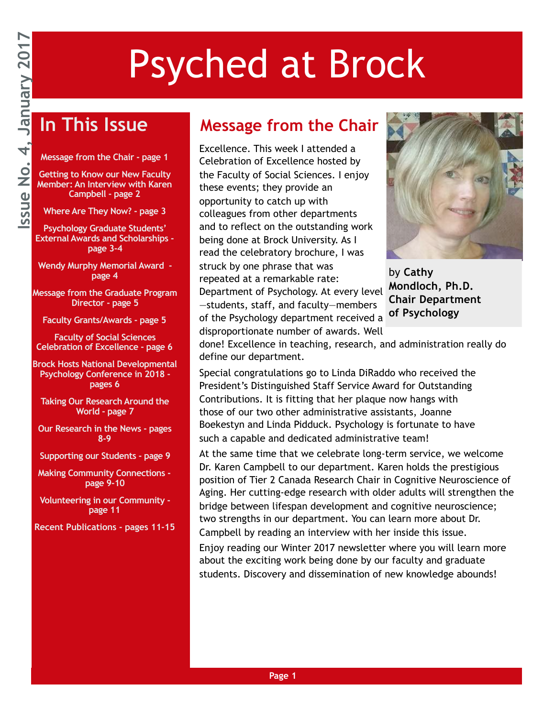## Psyched at Brock

### **In This Issue**

**Message from the Chair - page 1** 

**Getting to Know our New Faculty Member: An Interview with Karen Campbell - page 2** 

**Where Are They Now? - page 3** 

**Psychology Graduate Students' External Awards and Scholarships page 3-4** 

**Wendy Murphy Memorial Award page 4** 

**Message from the Graduate Program Director - page 5** 

**Faculty Grants/Awards - page 5** 

**Faculty of Social Sciences Celebration of Excellence - page 6** 

**Brock Hosts National Developmental Psychology Conference in 2018 pages 6** 

**Taking Our Research Around the World - page 7** 

**Our Research in the News - pages 8-9** 

**Supporting our Students - page 9** 

**Making Community Connections page 9-10** 

**Volunteering in our Community page 11** 

**Recent Publications - pages 11-15**

#### **Message from the Chair**

Excellence. This week I attended a Celebration of Excellence hosted by the Faculty of Social Sciences. I enjoy these events; they provide an opportunity to catch up with colleagues from other departments and to reflect on the outstanding work being done at Brock University. As I read the celebratory brochure, I was struck by one phrase that was repeated at a remarkable rate: Department of Psychology. At every level —students, staff, and faculty—members of the Psychology department received a disproportionate number of awards. Well



by **Cathy Mondloch, Ph.D. Chair Department of Psychology**

done! Excellence in teaching, research, and administration really do define our department.

Special congratulations go to Linda DiRaddo who received the President's Distinguished Staff Service Award for Outstanding Contributions. It is fitting that her plaque now hangs with those of our two other administrative assistants, Joanne Boekestyn and Linda Pidduck. Psychology is fortunate to have such a capable and dedicated administrative team!

At the same time that we celebrate long-term service, we welcome Dr. Karen Campbell to our department. Karen holds the prestigious position of Tier 2 Canada Research Chair in Cognitive Neuroscience of Aging. Her cutting-edge research with older adults will strengthen the bridge between lifespan development and cognitive neuroscience; two strengths in our department. You can learn more about Dr. Campbell by reading an interview with her inside this issue.

Enjoy reading our Winter 2017 newsletter where you will learn more about the exciting work being done by our faculty and graduate students. Discovery and dissemination of new knowledge abounds!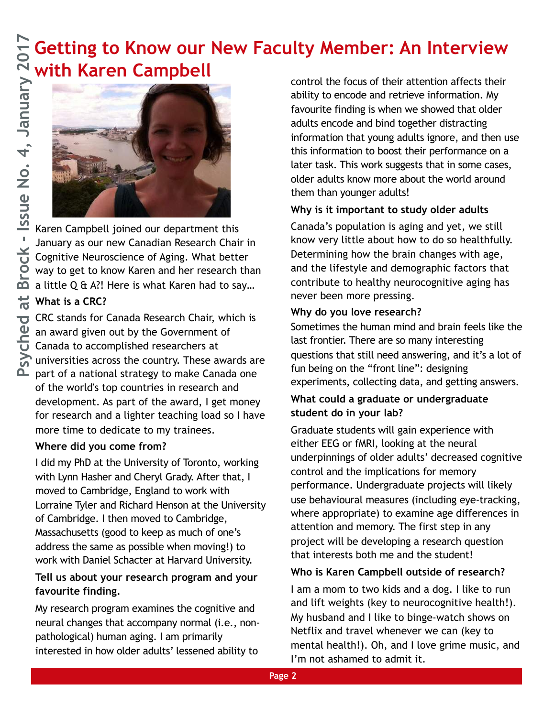# **with Karen Campbell**



Karen Campbell joined our department this January as our new Canadian Research Chair in Cognitive Neuroscience of Aging. What better way to get to know Karen and her research than a little Q & A?! Here is what Karen had to say…

#### **What is a CRC?**

CRC stands for Canada Research Chair, which is an award given out by the Government of Canada to accomplished researchers at universities across the country. These awards are part of a national strategy to make Canada one of the world's top countries in research and development. As part of the award, I get money for research and a lighter teaching load so I have more time to dedicate to my trainees.

#### **Where did you come from?**

I did my PhD at the University of Toronto, working with Lynn Hasher and Cheryl Grady. After that, I moved to Cambridge, England to work with Lorraine Tyler and Richard Henson at the University of Cambridge. I then moved to Cambridge, Massachusetts (good to keep as much of one's address the same as possible when moving!) to work with Daniel Schacter at Harvard University.

#### **Tell us about your research program and your favourite finding.**

My research program examines the cognitive and neural changes that accompany normal (i.e., nonpathological) human aging. I am primarily interested in how older adults' lessened ability to

control the focus of their attention affects their ability to encode and retrieve information. My favourite finding is when we showed that older adults encode and bind together distracting information that young adults ignore, and then use this information to boost their performance on a later task. This work suggests that in some cases, older adults know more about the world around them than younger adults! **Public Constrained at Brock - Interview Account the focus of their attention affects their attention affects their attention affects their attention affects their attention and brock their attention. My favourite finding** 

#### **Why is it important to study older adults**

Canada's population is aging and yet, we still know very little about how to do so healthfully. Determining how the brain changes with age, and the lifestyle and demographic factors that contribute to healthy neurocognitive aging has never been more pressing.

#### **Why do you love research?**

Sometimes the human mind and brain feels like the last frontier. There are so many interesting questions that still need answering, and it's a lot of fun being on the "front line": designing experiments, collecting data, and getting answers.

#### **What could a graduate or undergraduate student do in your lab?**

Graduate students will gain experience with either EEG or fMRI, looking at the neural underpinnings of older adults' decreased cognitive control and the implications for memory performance. Undergraduate projects will likely use behavioural measures (including eye-tracking, where appropriate) to examine age differences in attention and memory. The first step in any project will be developing a research question that interests both me and the student!

#### **Who is Karen Campbell outside of research?**

I am a mom to two kids and a dog. I like to run and lift weights (key to neurocognitive health!). My husband and I like to binge-watch shows on Netflix and travel whenever we can (key to mental health!). Oh, and I love grime music, and I'm not ashamed to admit it.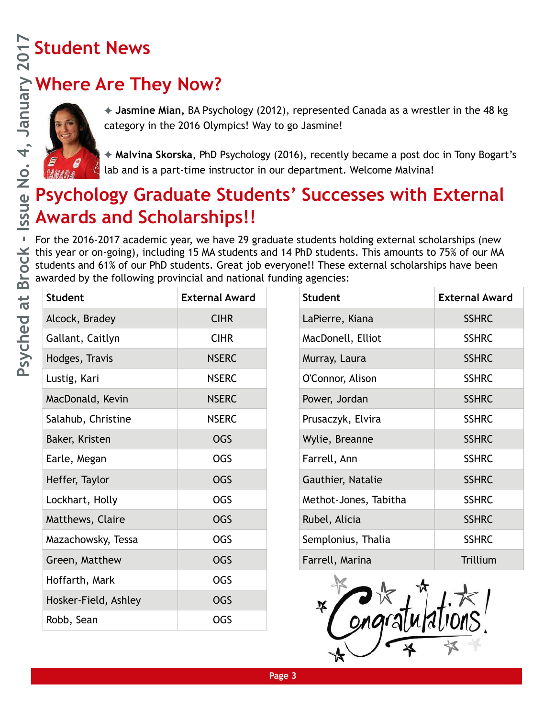### **Where Are They Now?**



### **Psychology Graduate Students' Successes with External Awards and Scholarships!!**

|                                                         | <b>Student News</b>                                                                                                                                                                                                                                                                                                                                                               |                                                                                                                                                                                                                                                                                                                                                                                         |  |                       |                       |  |  |
|---------------------------------------------------------|-----------------------------------------------------------------------------------------------------------------------------------------------------------------------------------------------------------------------------------------------------------------------------------------------------------------------------------------------------------------------------------|-----------------------------------------------------------------------------------------------------------------------------------------------------------------------------------------------------------------------------------------------------------------------------------------------------------------------------------------------------------------------------------------|--|-----------------------|-----------------------|--|--|
|                                                         |                                                                                                                                                                                                                                                                                                                                                                                   |                                                                                                                                                                                                                                                                                                                                                                                         |  |                       |                       |  |  |
| $\overline{4}$<br>$\frac{\dot{\mathsf{o}}}{\mathsf{Z}}$ |                                                                                                                                                                                                                                                                                                                                                                                   | Where Are They Now?<br>Hasmine Mian, BA Psych<br>Category in the 2016 Olym<br>+ Jasmine Mian, BA Psychology (2012), represented Canada as a wrestler in the 48 kg<br>category in the 2016 Olympics! Way to go Jasmine!<br>◆ Malvina Skorska, PhD Psychology (2016), recently became a post doc in Tony Bogart'<br>lab and is a part-time instructor in our department. Welcome Malvina! |  |                       |                       |  |  |
|                                                         |                                                                                                                                                                                                                                                                                                                                                                                   |                                                                                                                                                                                                                                                                                                                                                                                         |  |                       |                       |  |  |
|                                                         | <b>Psychology Graduate Students' Successes with External</b>                                                                                                                                                                                                                                                                                                                      |                                                                                                                                                                                                                                                                                                                                                                                         |  |                       |                       |  |  |
| ssue                                                    | <b>Awards and Scholarships!!</b>                                                                                                                                                                                                                                                                                                                                                  |                                                                                                                                                                                                                                                                                                                                                                                         |  |                       |                       |  |  |
| $\mathbb I$<br>ock<br>Br                                | For the 2016-2017 academic year, we have 29 graduate students holding external scholarships (new<br>this year or on-going), including 15 MA students and 14 PhD students. This amounts to 75% of our MA<br>students and 61% of our PhD students. Great job everyone!! These external scholarships have been<br>awarded by the following provincial and national funding agencies: |                                                                                                                                                                                                                                                                                                                                                                                         |  |                       |                       |  |  |
| at<br>Psyched                                           | <b>Student</b>                                                                                                                                                                                                                                                                                                                                                                    | <b>External Award</b>                                                                                                                                                                                                                                                                                                                                                                   |  | <b>Student</b>        | <b>External Award</b> |  |  |
|                                                         | Alcock, Bradey                                                                                                                                                                                                                                                                                                                                                                    | <b>CIHR</b>                                                                                                                                                                                                                                                                                                                                                                             |  | LaPierre, Kiana       | <b>SSHRC</b>          |  |  |
|                                                         | Gallant, Caitlyn                                                                                                                                                                                                                                                                                                                                                                  | <b>CIHR</b>                                                                                                                                                                                                                                                                                                                                                                             |  | MacDonell, Elliot     | <b>SSHRC</b>          |  |  |
|                                                         | Hodges, Travis                                                                                                                                                                                                                                                                                                                                                                    | <b>NSERC</b>                                                                                                                                                                                                                                                                                                                                                                            |  | Murray, Laura         | <b>SSHRC</b>          |  |  |
|                                                         | Lustig, Kari                                                                                                                                                                                                                                                                                                                                                                      | <b>NSERC</b>                                                                                                                                                                                                                                                                                                                                                                            |  | O'Connor, Alison      | <b>SSHRC</b>          |  |  |
|                                                         | MacDonald, Kevin                                                                                                                                                                                                                                                                                                                                                                  | <b>NSERC</b>                                                                                                                                                                                                                                                                                                                                                                            |  | Power, Jordan         | <b>SSHRC</b>          |  |  |
|                                                         | Salahub, Christine                                                                                                                                                                                                                                                                                                                                                                | <b>NSERC</b>                                                                                                                                                                                                                                                                                                                                                                            |  | Prusaczyk, Elvira     | <b>SSHRC</b>          |  |  |
|                                                         | Baker, Kristen                                                                                                                                                                                                                                                                                                                                                                    | <b>OGS</b>                                                                                                                                                                                                                                                                                                                                                                              |  | Wylie, Breanne        | <b>SSHRC</b>          |  |  |
|                                                         | Earle, Megan                                                                                                                                                                                                                                                                                                                                                                      | <b>OGS</b>                                                                                                                                                                                                                                                                                                                                                                              |  | Farrell, Ann          | <b>SSHRC</b>          |  |  |
|                                                         | Heffer, Taylor                                                                                                                                                                                                                                                                                                                                                                    | <b>OGS</b>                                                                                                                                                                                                                                                                                                                                                                              |  | Gauthier, Natalie     | <b>SSHRC</b>          |  |  |
|                                                         | Lockhart, Holly                                                                                                                                                                                                                                                                                                                                                                   | <b>OGS</b>                                                                                                                                                                                                                                                                                                                                                                              |  | Methot-Jones, Tabitha | <b>SSHRC</b>          |  |  |
|                                                         | Matthews, Claire                                                                                                                                                                                                                                                                                                                                                                  | <b>OGS</b>                                                                                                                                                                                                                                                                                                                                                                              |  | Rubel, Alicia         | <b>SSHRC</b>          |  |  |
|                                                         | Mazachowsky, Tessa                                                                                                                                                                                                                                                                                                                                                                | <b>OGS</b>                                                                                                                                                                                                                                                                                                                                                                              |  | Semplonius, Thalia    | <b>SSHRC</b>          |  |  |
|                                                         | Green, Matthew                                                                                                                                                                                                                                                                                                                                                                    | <b>OGS</b>                                                                                                                                                                                                                                                                                                                                                                              |  | Farrell, Marina       | Trillium              |  |  |
|                                                         | Hoffarth, Mark                                                                                                                                                                                                                                                                                                                                                                    | <b>OGS</b>                                                                                                                                                                                                                                                                                                                                                                              |  |                       |                       |  |  |
|                                                         | Hosker-Field, Ashley                                                                                                                                                                                                                                                                                                                                                              | <b>OGS</b>                                                                                                                                                                                                                                                                                                                                                                              |  |                       |                       |  |  |
|                                                         | Robb, Sean                                                                                                                                                                                                                                                                                                                                                                        | <b>OGS</b>                                                                                                                                                                                                                                                                                                                                                                              |  | * Congratulations!    |                       |  |  |

| Student               | <b>External Award</b> |  |
|-----------------------|-----------------------|--|
| LaPierre, Kiana       | <b>SSHRC</b>          |  |
| MacDonell, Elliot     | <b>SSHRC</b>          |  |
| Murray, Laura         | <b>SSHRC</b>          |  |
| O'Connor, Alison      | <b>SSHRC</b>          |  |
| Power, Jordan         | <b>SSHRC</b>          |  |
| Prusaczyk, Elvira     | <b>SSHRC</b>          |  |
| Wylie, Breanne        | <b>SSHRC</b>          |  |
| Farrell, Ann          | <b>SSHRC</b>          |  |
| Gauthier, Natalie     | <b>SSHRC</b>          |  |
| Methot-Jones, Tabitha | <b>SSHRC</b>          |  |
| Rubel, Alicia         | <b>SSHRC</b>          |  |
| Semplonius, Thalia    | <b>SSHRC</b>          |  |
| Farrell, Marina       | Trillium              |  |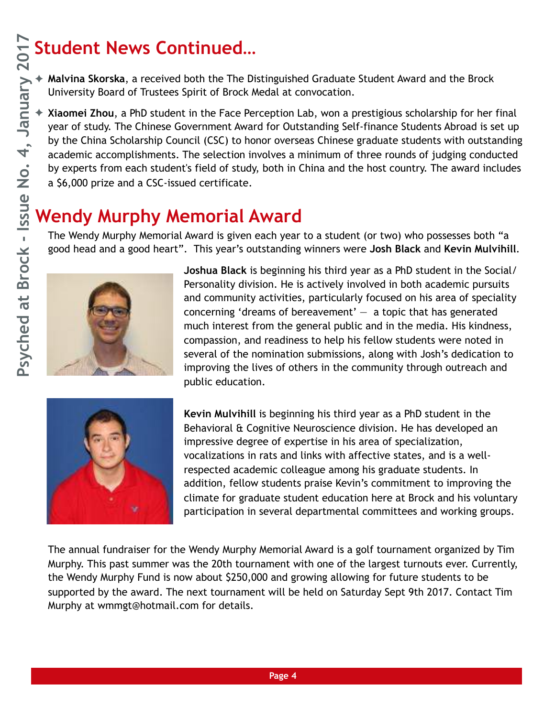#### **Student News Continued…**

✦ **Malvina Skorska**, a received both the The Distinguished Graduate Student Award and the Brock University Board of Trustees Spirit of Brock Medal at convocation.

✦ **Xiaomei Zhou**, a PhD student in the Face Perception Lab, won a prestigious scholarship for her final year of study. The Chinese Government Award for Outstanding Self-finance Students Abroad is set up by the China Scholarship Council (CSC) to honor overseas Chinese graduate students with outstanding academic accomplishments. The selection involves a minimum of three rounds of judging conducted by experts from each student's field of study, both in China and the host country. The award includes a \$6,000 prize and a CSC-issued certificate.

#### **Wendy Murphy Memorial Award**

The Wendy Murphy Memorial Award is given each year to a student (or two) who possesses both "a good head and a good heart". This year's outstanding winners were **Josh Black** and **Kevin Mulvihill**.



**Joshua Black** is beginning his third year as a PhD student in the Social/ Personality division. He is actively involved in both academic pursuits and community activities, particularly focused on his area of speciality concerning 'dreams of bereavement'  $-$  a topic that has generated much interest from the general public and in the media. His kindness, compassion, and readiness to help his fellow students were noted in several of the nomination submissions, along with Josh's dedication to improving the lives of others in the community through outreach and public education.



**Kevin Mulvihill** is beginning his third year as a PhD student in the Behavioral & Cognitive Neuroscience division. He has developed an impressive degree of expertise in his area of specialization, vocalizations in rats and links with affective states, and is a wellrespected academic colleague among his graduate students. In addition, fellow students praise Kevin's commitment to improving the climate for graduate student education here at Brock and his voluntary participation in several departmental committees and working groups.

The annual fundraiser for the Wendy Murphy Memorial Award is a golf tournament organized by Tim Murphy. This past summer was the 20th tournament with one of the largest turnouts ever. Currently, the Wendy Murphy Fund is now about \$250,000 and growing allowing for future students to be supported by the award. The next tournament will be held on Saturday Sept 9th 2017. Contact Tim Murphy at wmmgt@hotmail.com for details.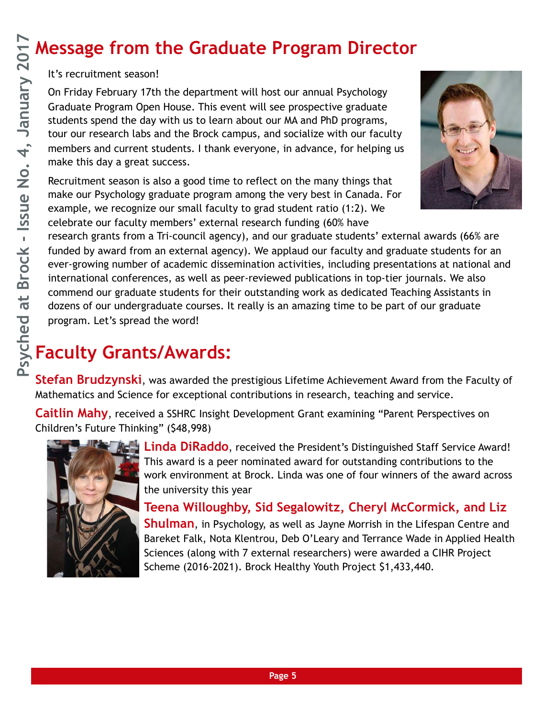#### **Message from the Graduate Program Director**

It's recruitment season!

On Friday February 17th the department will host our annual Psychology Graduate Program Open House. This event will see prospective graduate students spend the day with us to learn about our MA and PhD programs, tour our research labs and the Brock campus, and socialize with our faculty members and current students. I thank everyone, in advance, for helping us make this day a great success.

Recruitment season is also a good time to reflect on the many things that make our Psychology graduate program among the very best in Canada. For example, we recognize our small faculty to grad student ratio (1:2). We celebrate our faculty members' external research funding (60% have



research grants from a Tri-council agency), and our graduate students' external awards (66% are funded by award from an external agency). We applaud our faculty and graduate students for an ever-growing number of academic dissemination activities, including presentations at national and international conferences, as well as peer-reviewed publications in top-tier journals. We also commend our graduate students for their outstanding work as dedicated Teaching Assistants in dozens of our undergraduate courses. It really is an amazing time to be part of our graduate program. Let's spread the word!

### **Faculty Grants/Awards:**

**Stefan Brudzynski**, was awarded the prestigious Lifetime Achievement Award from the Faculty of Mathematics and Science for exceptional contributions in research, teaching and service.

**Caitlin Mahy**, received a SSHRC Insight Development Grant examining "Parent Perspectives on Children's Future Thinking" (\$48,998)



**Linda DiRaddo**, received the President's Distinguished Staff Service Award! This award is a peer nominated award for outstanding contributions to the work environment at Brock. Linda was one of four winners of the award across the university this year

**Teena Willoughby, Sid Segalowitz, Cheryl McCormick, and Liz Shulman**, in Psychology, as well as Jayne Morrish in the Lifespan Centre and Bareket Falk, Nota Klentrou, Deb O'Leary and Terrance Wade in Applied Health Sciences (along with 7 external researchers) were awarded a CIHR Project Scheme (2016-2021). Brock Healthy Youth Project \$1,433,440.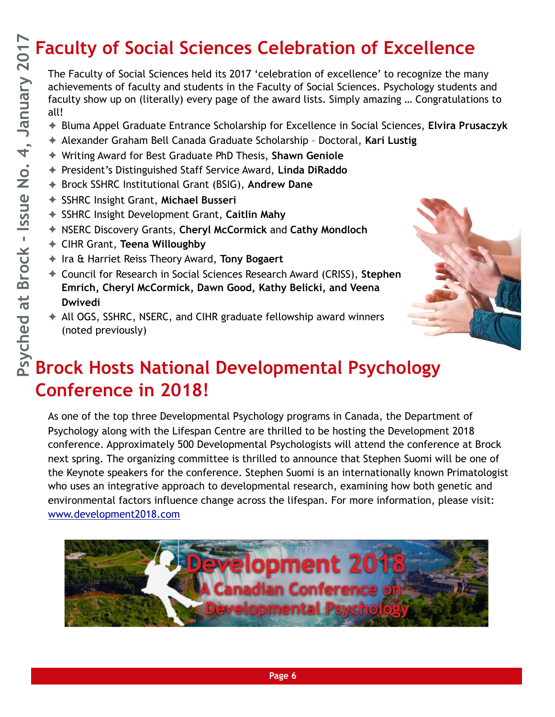### **Faculty of Social Sciences Celebration of Excellence**

The Faculty of Social Sciences held its 2017 'celebration of excellence' to recognize the many achievements of faculty and students in the Faculty of Social Sciences. Psychology students and faculty show up on (literally) every page of the award lists. Simply amazing … Congratulations to all!

- ✦ Bluma Appel Graduate Entrance Scholarship for Excellence in Social Sciences, **Elvira Prusaczyk**
- ✦ Alexander Graham Bell Canada Graduate Scholarship Doctoral, **Kari Lustig**
- ✦ Writing Award for Best Graduate PhD Thesis, **Shawn Geniole**
- ✦ President's Distinguished Staff Service Award, **Linda DiRaddo**
- ✦ Brock SSHRC Institutional Grant (BSIG), **Andrew Dane**
- ✦ SSHRC Insight Grant, **Michael Busseri**
- ✦ SSHRC Insight Development Grant, **Caitlin Mahy**
- ✦ NSERC Discovery Grants, **Cheryl McCormick** and **Cathy Mondloch**
- ✦ CIHR Grant, **Teena Willoughby**
- ✦ Ira & Harriet Reiss Theory Award, **Tony Bogaert**
- ✦ Council for Research in Social Sciences Research Award (CRISS), **Stephen Emrich, Cheryl McCormick, Dawn Good, Kathy Belicki, and Veena Dwivedi**
- ✦ All OGS, SSHRC, NSERC, and CIHR graduate fellowship award winners (noted previously)



### **Brock Hosts National Developmental Psychology Conference in 2018!**

As one of the top three Developmental Psychology programs in Canada, the Department of Psychology along with the Lifespan Centre are thrilled to be hosting the Development 2018 conference. Approximately 500 Developmental Psychologists will attend the conference at Brock next spring. The organizing committee is thrilled to announce that Stephen Suomi will be one of the Keynote speakers for the conference. Stephen Suomi is an internationally known Primatologist who uses an integrative approach to developmental research, examining how both genetic and environmental factors influence change across the lifespan. For more information, please visit: [www.development2018.com](http://www.development2018.com)

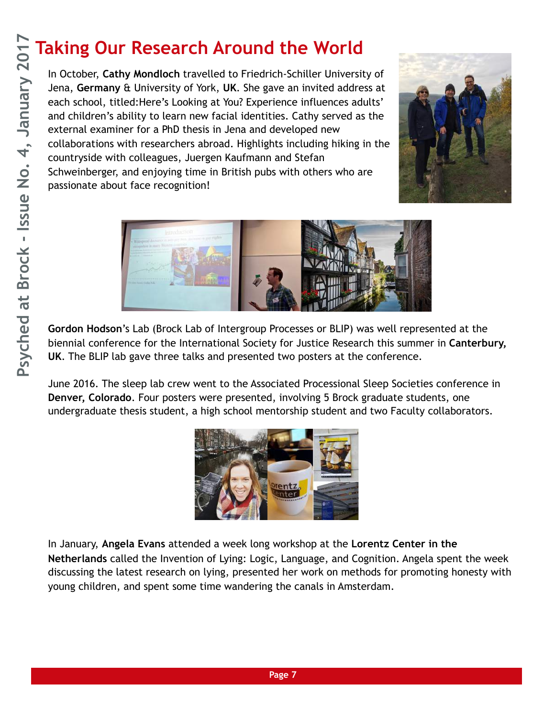## **Taking Our Research Around the World**

In October, **Cathy Mondloch** travelled to Friedrich-Schiller University of Jena, **Germany** & University of York, **UK**. She gave an invited address at each school, titled:Here's Looking at You? Experience influences adults' and children's ability to learn new facial identities. Cathy served as the external examiner for a PhD thesis in Jena and developed new collaborations with researchers abroad. Highlights including hiking in the countryside with colleagues, Juergen Kaufmann and Stefan Schweinberger, and enjoying time in British pubs with others who are passionate about face recognition!





**Gordon Hodson**'s Lab (Brock Lab of Intergroup Processes or BLIP) was well represented at the biennial conference for the International Society for Justice Research this summer in **Canterbury, UK**. The BLIP lab gave three talks and presented two posters at the conference.

June 2016. The sleep lab crew went to the Associated Processional Sleep Societies conference in **Denver, Colorado**. Four posters were presented, involving 5 Brock graduate students, one undergraduate thesis student, a high school mentorship student and two Faculty collaborators.



In January, **Angela Evans** attended a week long workshop at the **Lorentz Center in the Netherlands** called the Invention of Lying: Logic, Language, and Cognition. Angela spent the week discussing the latest research on lying, presented her work on methods for promoting honesty with young children, and spent some time wandering the canals in Amsterdam.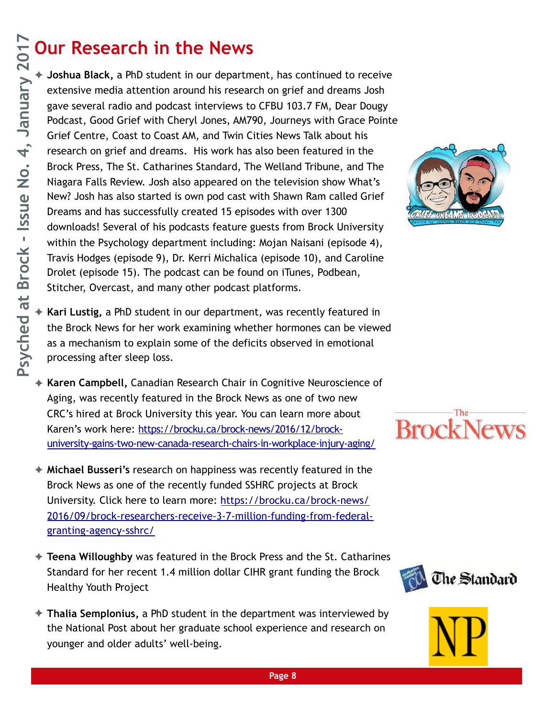### **Our Research in the News**

✦ **Joshua Black,** a PhD student in our department, has continued to receive extensive media attention around his research on grief and dreams Josh gave several radio and podcast interviews to CFBU 103.7 FM, Dear Dougy Podcast, Good Grief with Cheryl Jones, AM790, Journeys with Grace Pointe Grief Centre, Coast to Coast AM, and Twin Cities News Talk about his research on grief and dreams. His work has also been featured in the Brock Press, The St. Catharines Standard, The Welland Tribune, and The Niagara Falls Review. Josh also appeared on the television show What's New? Josh has also started is own pod cast with Shawn Ram called Grief Dreams and has successfully created 15 episodes with over 1300 downloads! Several of his podcasts feature guests from Brock University within the Psychology department including: Mojan Naisani (episode 4), Travis Hodges (episode 9), Dr. Kerri Michalica (episode 10), and Caroline Drolet (episode 15). The podcast can be found on iTunes, Podbean, Stitcher, Overcast, and many other podcast platforms.



- Kari Lustig, a PhD student in our department, was recently featured in the Brock News for her work examining whether hormones can be viewed as a mechanism to explain some of the deficits observed in emotional processing after sleep loss.
- ✦ **Karen Campbell,** Canadian Research Chair in Cognitive Neuroscience of Aging, was recently featured in the Brock News as one of two new CRC's hired at Brock University this year. You can learn more about Karen's work here: https://brocku.ca/brock-news/2016/12/brock[university-gains-two-new-canada-research-chairs-in-workplace-injury-aging/](https://brocku.ca/brock-news/2016/12/brock-university-gains-two-new-canada-research-chairs-in-workplace-injury-aging/)
- ✦ **Michael Busseri's** research on happiness was recently featured in the Brock News as one of the recently funded SSHRC projects at Brock University. Click here to learn more: https://brocku.ca/brock-news/ [2016/09/brock-researchers-receive-3-7-million-funding-from-federal](https://brocku.ca/brock-news/2016/09/brock-researchers-receive-3-7-million-funding-from-federal-granting-agency-sshrc/)granting-agency-sshrc/
- ✦ **Teena Willoughby** was featured in the Brock Press and the St. Catharines Standard for her recent 1.4 million dollar CIHR grant funding the Brock Healthy Youth Project
- ✦ **Thalia Semplonius,** a PhD student in the department was interviewed by the National Post about her graduate school experience and research on younger and older adults' well-being.





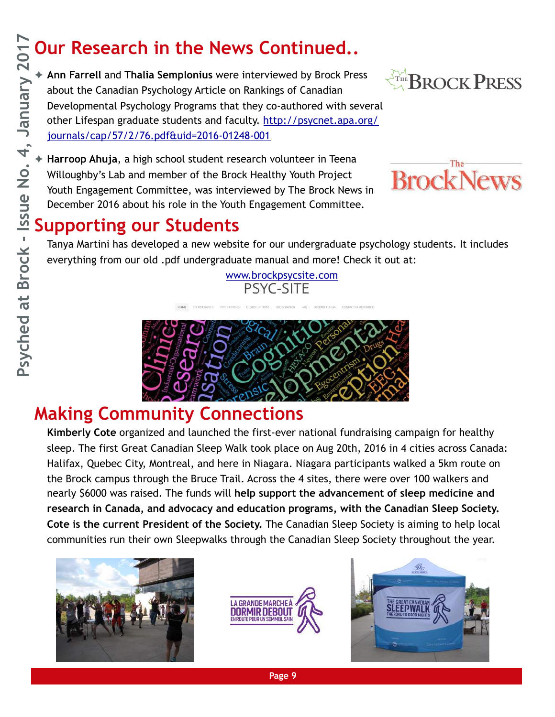## **Our Research in the News Continued..**

✦ **Ann Farrell** and **Thalia Semplonius** were interviewed by Brock Press about the Canadian Psychology Article on Rankings of Canadian Developmental Psychology Programs that they co-authored with several [other Lifespan graduate students and faculty. http://psycnet.apa.org/](http://psycnet.apa.org/journals/cap/57/2/76.pdf&uid=2016-01248-001) journals/cap/57/2/76.pdf&uid=2016-01248-001



Harroop Ahuja, a high school student research volunteer in Teena Willoughby's Lab and member of the Brock Healthy Youth Project Youth Engagement Committee, was interviewed by The Brock News in December 2016 about his role in the Youth Engagement Committee.



#### **Supporting our Students**

Tanya Martini has developed a new website for our undergraduate psychology students. It includes everything from our old .pdf undergraduate manual and more! Check it out at:

[www.brockpsycsite.com](http://www.brockpsycsite.com)

PSYC-SITE



#### **Making Community Connections**

**Kimberly Cote** organized and launched the first-ever national fundraising campaign for healthy sleep. The first Great Canadian Sleep Walk took place on Aug 20th, 2016 in 4 cities across Canada: Halifax, Quebec City, Montreal, and here in Niagara. Niagara participants walked a 5km route on the Brock campus through the Bruce Trail. Across the 4 sites, there were over 100 walkers and nearly \$6000 was raised. The funds will **help support the advancement of sleep medicine and research in Canada, and advocacy and education programs, with the Canadian Sleep Society. Cote is the current President of the Society.** The Canadian Sleep Society is aiming to help local communities run their own Sleepwalks through the Canadian Sleep Society throughout the year.







**Page 9**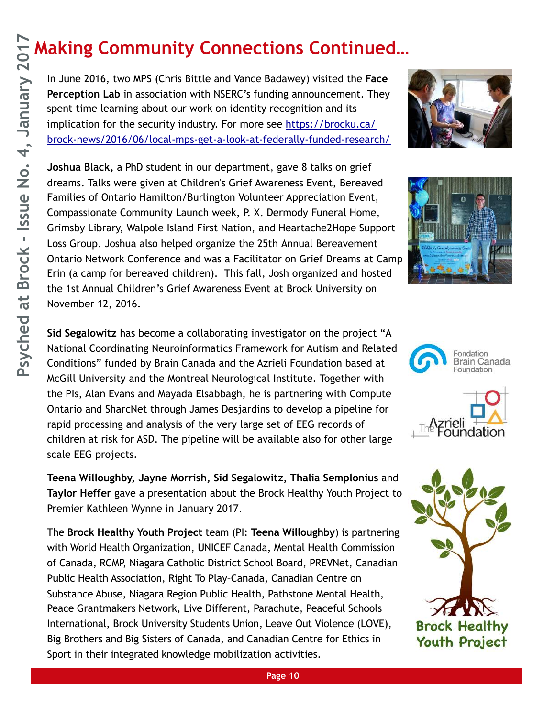### **Making Community Connections Continued…**

In June 2016, two MPS (Chris Bittle and Vance Badawey) visited the **Face Perception Lab** in association with NSERC's funding announcement. They spent time learning about our work on identity recognition and its implication for the security industry. For more see https://brocku.ca/ [brock-news/2016/06/local-mps-get-a-look-at-federally-funded-research/](https://brocku.ca/brock-news/2016/06/local-mps-get-a-look-at-federally-funded-research/) 

**Joshua Black,** a PhD student in our department, gave 8 talks on grief dreams. Talks were given at Children's Grief Awareness Event, Bereaved Families of Ontario Hamilton/Burlington Volunteer Appreciation Event, Compassionate Community Launch week, P. X. Dermody Funeral Home, Grimsby Library, Walpole Island First Nation, and Heartache2Hope Support Loss Group. Joshua also helped organize the 25th Annual Bereavement Ontario Network Conference and was a Facilitator on Grief Dreams at Camp Erin (a camp for bereaved children). This fall, Josh organized and hosted the 1st Annual Children's Grief Awareness Event at Brock University on November 12, 2016.

**Sid Segalowitz** has become a collaborating investigator on the project "A National Coordinating Neuroinformatics Framework for Autism and Related Conditions" funded by Brain Canada and the Azrieli Foundation based at McGill University and the Montreal Neurological Institute. Together with the PIs, Alan Evans and Mayada Elsabbagh, he is partnering with Compute Ontario and SharcNet through James Desjardins to develop a pipeline for rapid processing and analysis of the very large set of EEG records of children at risk for ASD. The pipeline will be available also for other large scale EEG projects.

**Teena Willoughby, Jayne Morrish, Sid Segalowitz, Thalia Semplonius** and **Taylor Heffer** gave a presentation about the Brock Healthy Youth Project to Premier Kathleen Wynne in January 2017.

The **Brock Healthy Youth Project** team (PI: **Teena Willoughby**) is partnering with World Health Organization, UNICEF Canada, Mental Health Commission of Canada, RCMP, Niagara Catholic District School Board, PREVNet, Canadian Public Health Association, Right To Play–Canada, Canadian Centre on Substance Abuse, Niagara Region Public Health, Pathstone Mental Health, Peace Grantmakers Network, Live Different, Parachute, Peaceful Schools International, Brock University Students Union, Leave Out Violence (LOVE), Big Brothers and Big Sisters of Canada, and Canadian Centre for Ethics in Sport in their integrated knowledge mobilization activities.









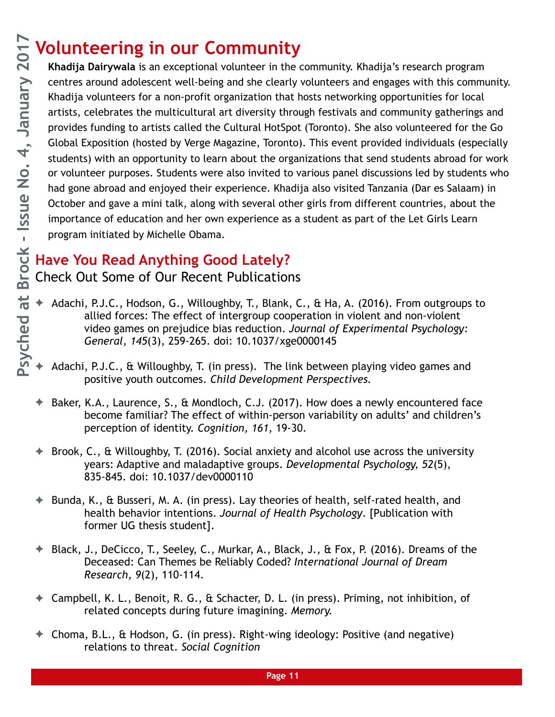#### **Volunteering in our Community**

**Khadija Dairywala** is an exceptional volunteer in the community. Khadija's research program centres around adolescent well-being and she clearly volunteers and engages with this community. Khadija volunteers for a non-profit organization that hosts networking opportunities for local artists, celebrates the multicultural art diversity through festivals and community gatherings and provides funding to artists called the Cultural HotSpot (Toronto). She also volunteered for the Go Global Exposition (hosted by Verge Magazine, Toronto). This event provided individuals (especially students) with an opportunity to learn about the organizations that send students abroad for work or volunteer purposes. Students were also invited to various panel discussions led by students who had gone abroad and enjoyed their experience. Khadija also visited Tanzania (Dar es Salaam) in October and gave a mini talk, along with several other girls from different countries, about the importance of education and her own experience as a student as part of the Let Girls Learn program initiated by Michelle Obama.

#### **Have You Read Anything Good Lately?**

Check Out Some of Our Recent Publications

- Adachi, P.J.C., Hodson, G., Willoughby, T., Blank, C., & Ha, A. (2016). From outgroups to allied forces: The effect of intergroup cooperation in violent and non-violent video games on prejudice bias reduction. *Journal of Experimental Psychology: General, 145*(3), 259-265. doi: 10.1037/xge0000145
- Adachi, P.J.C., & Willoughby, T. (in press). The link between playing video games and positive youth outcomes. *Child Development Perspectives.*
- Baker, K.A., Laurence, S., & Mondloch, C.J. (2017). How does a newly encountered face become familiar? The effect of within-person variability on adults' and children's perception of identity. *Cognition, 161*, 19-30.
- ✦ Brook, C., & Willoughby, T. (2016). Social anxiety and alcohol use across the university years: Adaptive and maladaptive groups. *Developmental Psychology, 52*(5), 835-845. doi: 10.1037/dev0000110
- ✦ Bunda, K., & Busseri, M. A. (in press). Lay theories of health, self-rated health, and health behavior intentions. *Journal of Health Psychology*. [Publication with former UG thesis student].
- ✦ Black, J., DeCicco, T., Seeley, C., Murkar, A., Black, J., & Fox, P. (2016). Dreams of the Deceased: Can Themes be Reliably Coded? *International Journal of Dream Research, 9*(2), 110-114.
- ✦ Campbell, K. L., Benoit, R. G., & Schacter, D. L. (in press). Priming, not inhibition, of related concepts during future imagining. *Memory.*
- ✦ Choma, B.L., & Hodson, G. (in press). Right-wing ideology: Positive (and negative) relations to threat. *Social Cognition*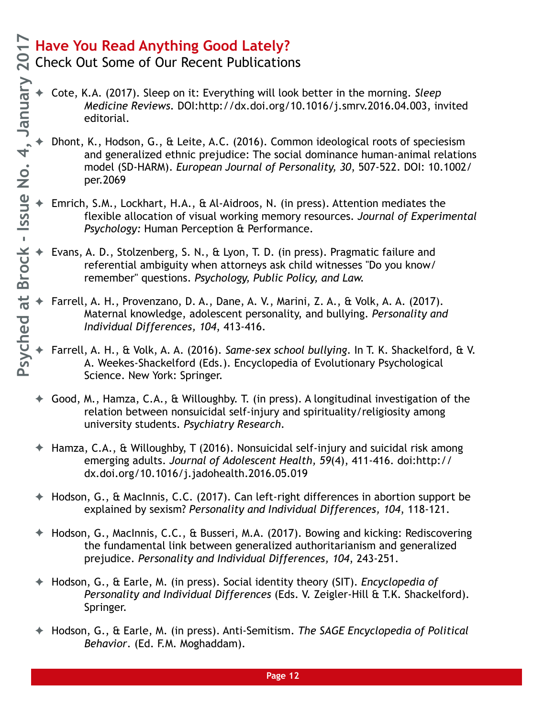S Check Out Some of Our Recent Publications

- ✦ Cote, K.A. (2017). Sleep on it: Everything will look better in the morning. *Sleep Medicine Reviews.* DOI:http://dx.doi.org/10.1016/j.smrv.2016.04.003, invited editorial.
- ✦ Dhont, K., Hodson, G., & Leite, A.C. (2016). Common ideological roots of speciesism and generalized ethnic prejudice: The social dominance human-animal relations model (SD-HARM). *European Journal of Personality, 30*, 507-522. DOI: 10.1002/ per.2069
- Emrich, S.M., Lockhart, H.A., & Al-Aidroos, N. (in press). Attention mediates the flexible allocation of visual working memory resources. *Journal of Experimental Psychology:* Human Perception & Performance.
- Evans, A. D., Stolzenberg, S. N., & Lyon, T. D. (in press). Pragmatic failure and referential ambiguity when attorneys ask child witnesses "Do you know/ remember" questions. *Psychology, Public Policy, and Law.*
- ✦ Farrell, A. H., Provenzano, D. A., Dane, A. V., Marini, Z. A., & Volk, A. A. (2017). Maternal knowledge, adolescent personality, and bullying. *Personality and Individual Differences, 104*, 413-416.
- ✦ Farrell, A. H., & Volk, A. A. (2016). *Same-sex school bullying*. In T. K. Shackelford, & V. A. Weekes-Shackelford (Eds.). Encyclopedia of Evolutionary Psychological Science. New York: Springer.
- ✦ Good, M., Hamza, C.A., & Willoughby. T. (in press). A longitudinal investigation of the relation between nonsuicidal self-injury and spirituality/religiosity among university students. *Psychiatry Research.*
- ✦ Hamza, C.A., & Willoughby, T (2016). Nonsuicidal self-injury and suicidal risk among emerging adults. *Journal of Adolescent Health, 59*(4), 411-416. doi:http:// dx.doi.org/10.1016/j.jadohealth.2016.05.019
- ✦ Hodson, G., & MacInnis, C.C. (2017). Can left-right differences in abortion support be explained by sexism? *Personality and Individual Differences, 104*, 118-121.
- ✦ Hodson, G., MacInnis, C.C., & Busseri, M.A. (2017). Bowing and kicking: Rediscovering the fundamental link between generalized authoritarianism and generalized prejudice. *Personality and Individual Differences, 104*, 243-251.
- ✦ Hodson, G., & Earle, M. (in press). Social identity theory (SIT). *Encyclopedia of Personality and Individual Differences* (Eds. V. Zeigler-Hill & T.K. Shackelford). Springer.
- ✦ Hodson, G., & Earle, M. (in press). Anti-Semitism. *The SAGE Encyclopedia of Political Behavior*. (Ed. F.M. Moghaddam).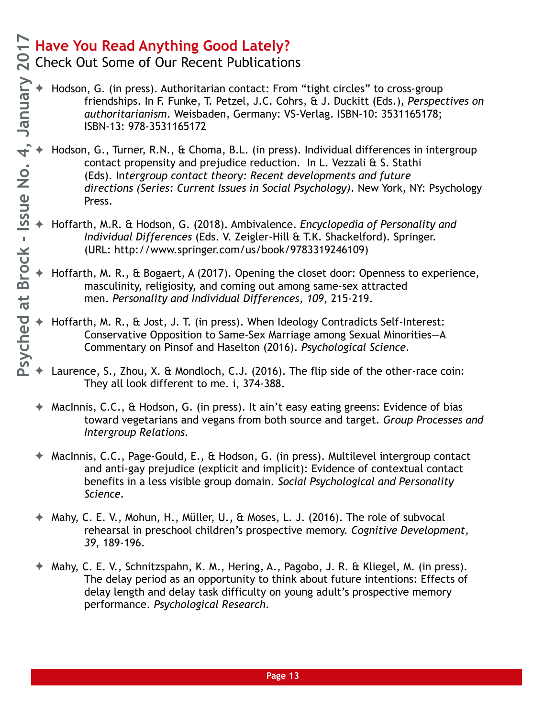Check Out Some of Our Recent Publications

- ✦ Hodson, G. (in press). Authoritarian contact: From "tight circles" to cross-group friendships. In F. Funke, T. Petzel, J.C. Cohrs, & J. Duckitt (Eds.), *Perspectives on authoritarianism*. Weisbaden, Germany: VS-Verlag. ISBN-10: 3531165178; ISBN-13: 978-3531165172
- Hodson, G., Turner, R.N., & Choma, B.L. (in press). Individual differences in intergroup contact propensity and prejudice reduction. In L. Vezzali & S. Stathi (Eds). In*tergroup contact theory: Recent developments and future directions (Series: Current Issues in Social Psychology)*. New York, NY: Psychology Press.
- ✦ Hoffarth, M.R. & Hodson, G. (2018). Ambivalence. *Encyclopedia of Personality and Individual Differences* (Eds. V. Zeigler-Hill & T.K. Shackelford). Springer. (URL: http://www.springer.com/us/book/9783319246109)
- ✦ Hoffarth, M. R., & Bogaert, A (2017). Opening the closet door: Openness to experience, masculinity, religiosity, and coming out among same-sex attracted men. *Personality and Individual Differences, 109*, 215-219.
- Hoffarth, M. R., & Jost, J. T. (in press). When Ideology Contradicts Self-Interest: Conservative Opposition to Same-Sex Marriage among Sexual Minorities—A Commentary on Pinsof and Haselton (2016). *Psychological Science.*
- Laurence, S., Zhou, X. & Mondloch, C.J. (2016). The flip side of the other-race coin: They all look different to me. i, 374-388.
- ✦ MacInnis, C.C., & Hodson, G. (in press). It ain't easy eating greens: Evidence of bias toward vegetarians and vegans from both source and target. *Group Processes and Intergroup Relations.*
- MacInnis, C.C., Page-Gould, E., & Hodson, G. (in press). Multilevel intergroup contact and anti-gay prejudice (explicit and implicit): Evidence of contextual contact benefits in a less visible group domain. *Social Psychological and Personality Science.*
- Mahy, C. E. V., Mohun, H., Müller, U., & Moses, L. J. (2016). The role of subvocal rehearsal in preschool children's prospective memory. *Cognitive Development, 39*, 189-196.
- Mahy, C. E. V., Schnitzspahn, K. M., Hering, A., Pagobo, J. R. & Kliegel, M. (in press). The delay period as an opportunity to think about future intentions: Effects of delay length and delay task difficulty on young adult's prospective memory performance. *Psychological Research.*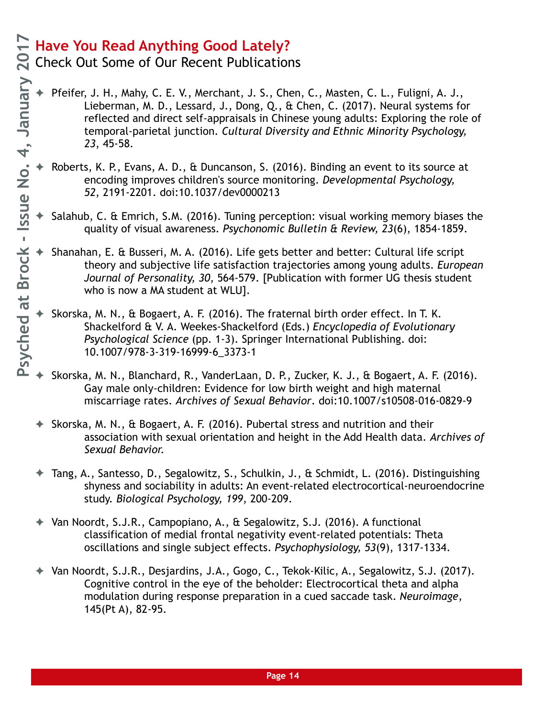**Q** Check Out Some of Our Recent Publications

- Pfeifer, J. H., Mahy, C. E. V., Merchant, J. S., Chen, C., Masten, C. L., Fuligni, A. J., Lieberman, M. D., Lessard, J., Dong, Q., & Chen, C. (2017). Neural systems for reflected and direct self-appraisals in Chinese young adults: Exploring the role of temporal-parietal junction. *Cultural Diversity and Ethnic Minority Psychology, 23*, 45-58.
- Roberts, K. P., Evans, A. D., & Duncanson, S. (2016). Binding an event to its source at encoding improves children's source monitoring. *Developmental Psychology, 52*, 2191-2201. doi:10.1037/dev0000213
- Salahub, C. & Emrich, S.M. (2016). Tuning perception: visual working memory biases the quality of visual awareness. *Psychonomic Bulletin & Review, 23*(6), 1854-1859.
- Shanahan, E. & Busseri, M. A. (2016). Life gets better and better: Cultural life script theory and subjective life satisfaction trajectories among young adults. *European Journal of Personality, 30*, 564-579. [Publication with former UG thesis student who is now a MA student at WLU].
- Skorska, M. N., & Bogaert, A. F. (2016). The fraternal birth order effect. In T. K. Shackelford & V. A. Weekes-Shackelford (Eds.) *Encyclopedia of Evolutionary Psychological Science* (pp. 1-3). Springer International Publishing. doi: 10.1007/978-3-319-16999-6\_3373-1
- Skorska, M. N., Blanchard, R., VanderLaan, D. P., Zucker, K. J., & Bogaert, A. F. (2016). Gay male only-children: Evidence for low birth weight and high maternal miscarriage rates. *Archives of Sexual Behavior*. doi:10.1007/s10508-016-0829-9
- ✦ Skorska, M. N., & Bogaert, A. F. (2016). Pubertal stress and nutrition and their association with sexual orientation and height in the Add Health data. *Archives of Sexual Behavior.*
- ✦ Tang, A., Santesso, D., Segalowitz, S., Schulkin, J., & Schmidt, L. (2016). Distinguishing shyness and sociability in adults: An event-related electrocortical-neuroendocrine study. *Biological Psychology, 199*, 200-209.
- ✦ Van Noordt, S.J.R., Campopiano, A., & Segalowitz, S.J. (2016). A functional classification of medial frontal negativity event-related potentials: Theta oscillations and single subject effects. *Psychophysiology, 53*(9), 1317-1334.
- Van Noordt, S.J.R., Desjardins, J.A., Gogo, C., Tekok-Kilic, A., Segalowitz, S.J. (2017). Cognitive control in the eye of the beholder: Electrocortical theta and alpha modulation during response preparation in a cued saccade task. *Neuroimage*, 145(Pt A), 82-95.